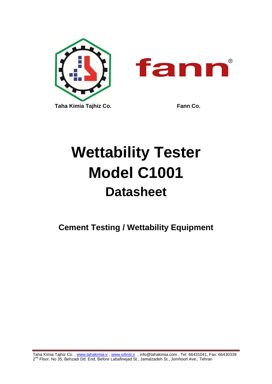

 $^{\circledR}$ 

# **Wettability Tester Model C1001 Datasheet**

**Cement Testing / Wettability Equipment**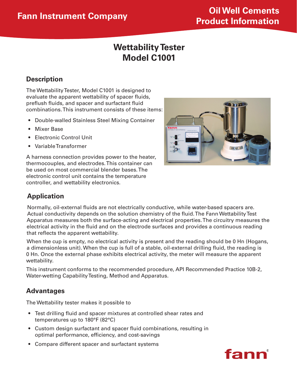# **Wettability Tester Model C1001**

# **Description**

The Wettability Tester, Model C1001 is designed to evaluate the apparent wettability of spacer fluids, preflush fluids, and spacer and surfactant fluid combinations. This instrument consists of these items:

- **Double-walled Stainless Steel Mixing Container**
- • Mixer Base
- Electronic Control Unit
- • Variable Transformer

A harness connection provides power to the heater, thermocouples, and electrodes. This container can be used on most commercial blender bases. The electronic control unit contains the temperature controller, and wettability electronics.



## **Application**

Normally, oil-external fluids are not electrically conductive, while water-based spacers are. Actual conductivity depends on the solution chemistry of the fluid. The Fann Wettability Test Apparatus measures both the surface-acting and electrical properties. The circuitry measures the electrical activity in the fluid and on the electrode surfaces and provides a continuous reading that reflects the apparent wettability.

When the cup is empty, no electrical activity is present and the reading should be 0 Hn (Hogans, a dimensionless unit). When the cup is full of a stable, oil-external drilling fluid, the reading is 0 Hn. Once the external phase exhibits electrical activity, the meter will measure the apparent wettability.

This instrument conforms to the recommended procedure, API Recommended Practice 10B-2, Water-wetting Capability Testing, Method and Apparatus.

#### **Advantages**

The Wettability tester makes it possible to

- Test drilling fluid and spacer mixtures at controlled shear rates and temperatures up to 180°F (82°C)
- Custom design surfactant and spacer fluid combinations, resulting in optimal performance, efficiency, and cost-savings
- Compare different spacer and surfactant systems